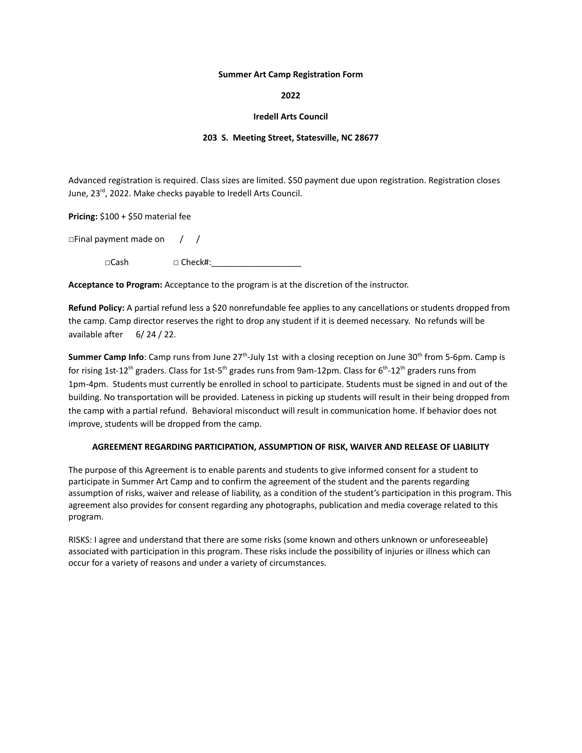## **Summer Art Camp Registration Form**

**2022**

## **Iredell Arts Council**

## **203 S. Meeting Street, Statesville, NC 28677**

Advanced registration is required. Class sizes are limited. \$50 payment due upon registration. Registration closes June, 23<sup>rd</sup>, 2022. Make checks payable to Iredell Arts Council.

**Pricing:** \$100 + \$50 material fee

□Final payment made on / /

 $\square$ Cash  $\square$  Check#:

**Acceptance to Program:** Acceptance to the program is at the discretion of the instructor.

**Refund Policy:** A partial refund less a \$20 nonrefundable fee applies to any cancellations or students dropped from the camp. Camp director reserves the right to drop any student if it is deemed necessary. No refunds will be available after 6/ 24 / 22.

Summer Camp Info: Camp runs from June 27<sup>th</sup>-July 1st with a closing reception on June 30<sup>th</sup> from 5-6pm. Camp is for rising 1st-12<sup>th</sup> graders. Class for 1st-5<sup>th</sup> grades runs from 9am-12pm. Class for 6<sup>th</sup>-12<sup>th</sup> graders runs from 1pm-4pm. Students must currently be enrolled in school to participate. Students must be signed in and out of the building. No transportation will be provided. Lateness in picking up students will result in their being dropped from the camp with a partial refund. Behavioral misconduct will result in communication home. If behavior does not improve, students will be dropped from the camp.

## **AGREEMENT REGARDING PARTICIPATION, ASSUMPTION OF RISK, WAIVER AND RELEASE OF LIABILITY**

The purpose of this Agreement is to enable parents and students to give informed consent for a student to participate in Summer Art Camp and to confirm the agreement of the student and the parents regarding assumption of risks, waiver and release of liability, as a condition of the student's participation in this program. This agreement also provides for consent regarding any photographs, publication and media coverage related to this program.

RISKS: I agree and understand that there are some risks (some known and others unknown or unforeseeable) associated with participation in this program. These risks include the possibility of injuries or illness which can occur for a variety of reasons and under a variety of circumstances.